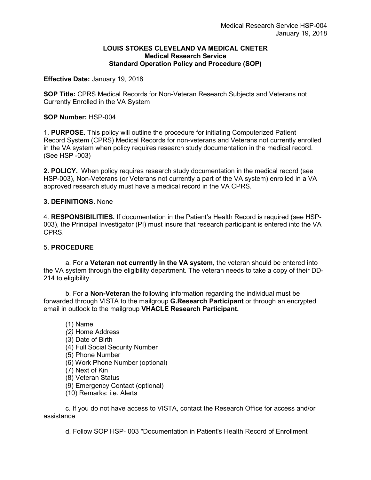## **LOUIS STOKES CLEVELAND VA MEDICAL CNETER Medical Research Service Standard Operation Policy and Procedure (SOP)**

**Effective Date:** January 19, 2018

**SOP Title:** CPRS Medical Records for Non-Veteran Research Subjects and Veterans not Currently Enrolled in the VA System

## **SOP Number:** HSP-004

1. **PURPOSE.** This policy will outline the procedure for initiating Computerized Patient Record System (CPRS) Medical Records for non-veterans and Veterans not currently enrolled in the VA system when policy requires research study documentation in the medical record. (See HSP -003)

**2. POLICY.** When policy requires research study documentation in the medical record (see HSP-003), Non-Veterans (or Veterans not currently a part of the VA system) enrolled in a VA approved research study must have a medical record in the VA CPRS.

## **3. DEFINITIONS.** None

4. **RESPONSIBILITIES.** If documentation in the Patient's Health Record is required (see HSP-003), the Principal Investigator (PI) must insure that research participant is entered into the VA CPRS.

## 5. **PROCEDURE**

a. For a **Veteran not currently in the VA system**, the veteran should be entered into the VA system through the eligibility department. The veteran needs to take a copy of their DD-214 to eligibility.

b. For a **Non-Veteran** the following information regarding the individual must be forwarded through VISTA to the mailgroup **G.Research Participant** or through an encrypted email in outlook to the mailgroup **VHACLE Research Participant.**

- (1) Name *(2)* Home Address (3) Date of Birth (4) Full Social Security Number (5) Phone Number (6) Work Phone Number (optional) (7) Next of Kin (8) Veteran Status (9) Emergency Contact (optional)
- (10) Remarks: i.e. Alerts

c. If you do not have access to VISTA, contact the Research Office for access and/or assistance

d. Follow SOP HSP- 003 "Documentation in Patient's Health Record of Enrollment